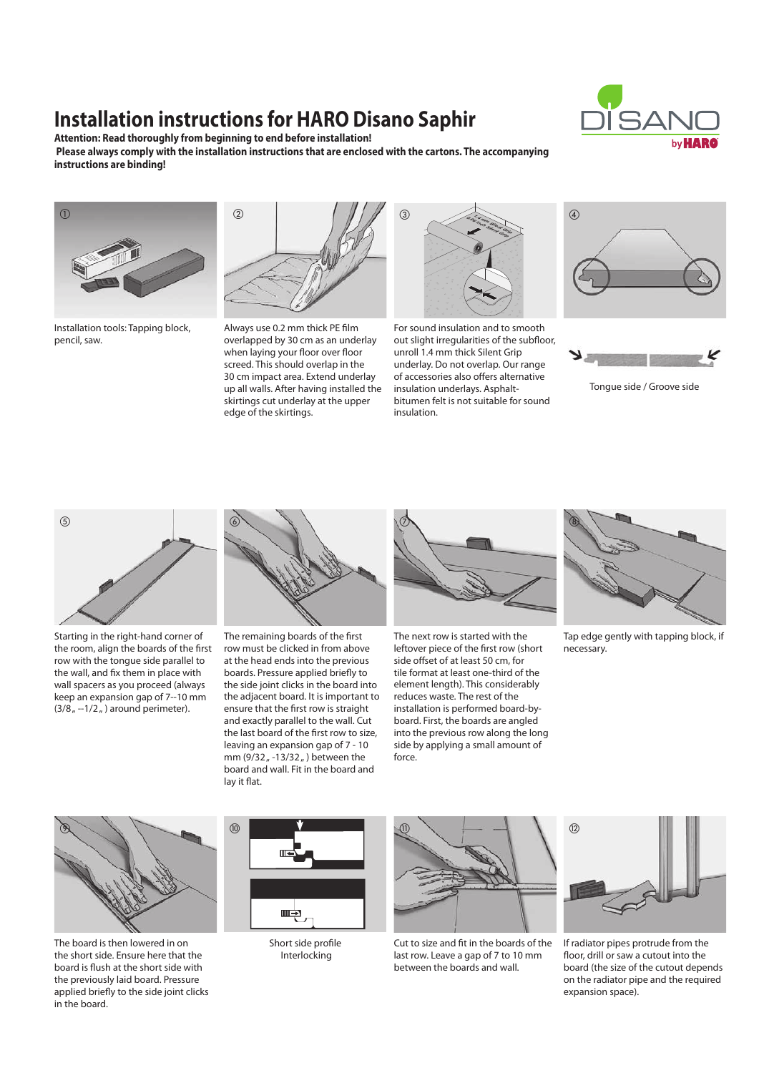# **Installation instructions for HARO Disano Saphir**

**Attention: Read thoroughly from beginning to end before installation! Please always comply with the installation instructions that are enclosed with the cartons. The accompanying instructions are binding!**





Installation tools: Tapping block, pencil, saw.



screed. This should overlap in the Always use 0.2 mm thick PE film overlapped by 30 cm as an underlay when laying your floor over floor 30 cm impact area. Extend underlay up all walls. After having installed the skirtings cut underlay at the upper edge of the skirtings.



unroll 1.4 mm thick Silent Grip 03 underlay. Do not overlap. Our range For sound insulation and to smooth out slight irregularities of the subfloor, of accessories also offers alternative insulation underlays. Asphaltbitumen felt is not suitable for sound insulation.





Tongue side / Groove side



Starting in the right-hand corner of the room, align the boards of the first row with the tongue side parallel to the wall, and fix them in place with wall spacers as you proceed (always keep an expansion gap of 7--10 mm  $(3/8<sub>n</sub> -1/2<sub>n</sub>)$  around perimeter).



at the head ends into the previous 04 boards. Pressure applied briefly to The remaining boards of the first row must be clicked in from above the side joint clicks in the board into the adjacent board. It is important to ensure that the first row is straight and exactly parallel to the wall. Cut the last board of the first row to size, leaving an expansion gap of 7 - 10 mm (9/32,  $-13/32$ , ) between the board and wall. Fit in the board and lay it flat.



07 tile format at least one-third of the side offset of at least 50 cm, for The next row is started with the leftover piece of the first row (short element length). This considerably reduces waste. The rest of the installation is performed board-byboard. First, the boards are angled into the previous row along the long side by applying a small amount of force.



Tap edge gently with tapping block, if necessary.



The board is then lowered in on the short side. Ensure here that the board is flush at the short side with the previously laid board. Pressure applied briefly to the side joint clicks in the board.



Short side profile Interlocking



Cut to size and fit in the boards of the last row. Leave a gap of 7 to 10 mm between the boards and wall.



2 on the radiator pipe and the required expansion space). If radiator pipes protrude from the floor, drill or saw a cutout into the board (the size of the cutout depends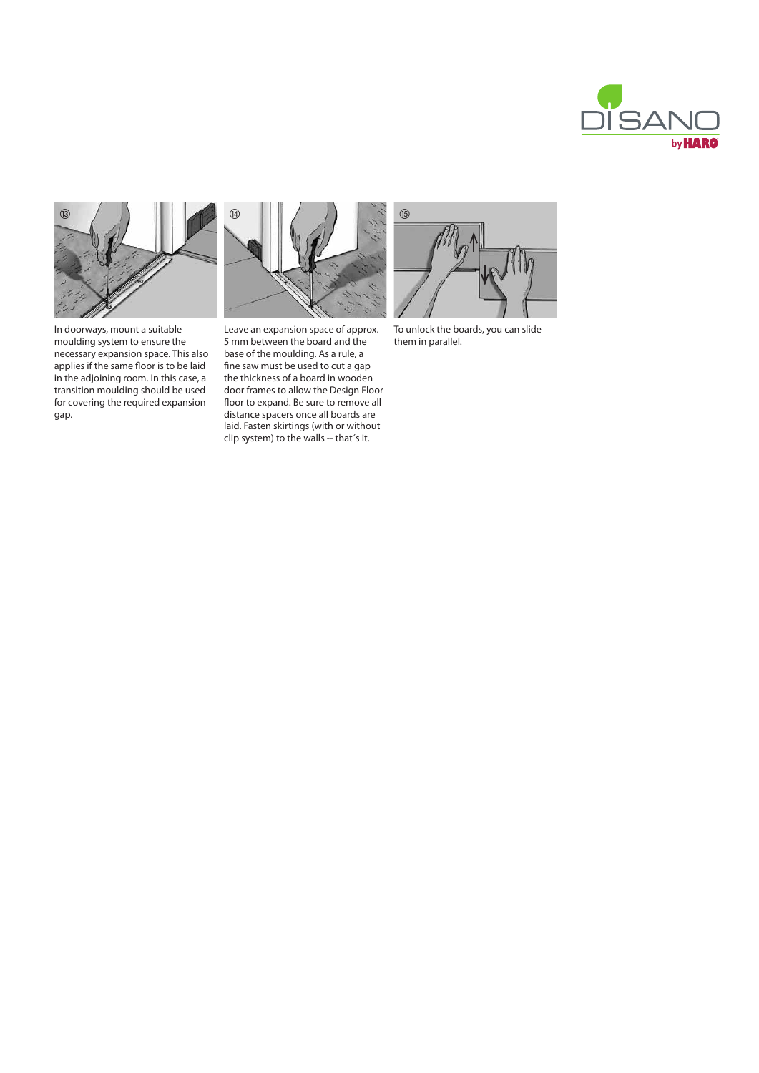



In doorways, mount a suitable moulding system to ensure the necessary expansion space. This also applies if the same floor is to be laid in the adjoining room. In this case, a transition moulding should be used for covering the required expansion gap.



base or the modiumy. As a rule, a<br>fine saw must be used to cut a gap Leave an expansion space of approx. 5 mm between the board and the base of the moulding. As a rule, a the thickness of a board in wooden door frames to allow the Design Floor floor to expand. Be sure to remove all distance spacers once all boards are laid. Fasten skirtings (with or without clip system) to the walls -- that´s it.



To unlock the boards, you can slide them in parallel.